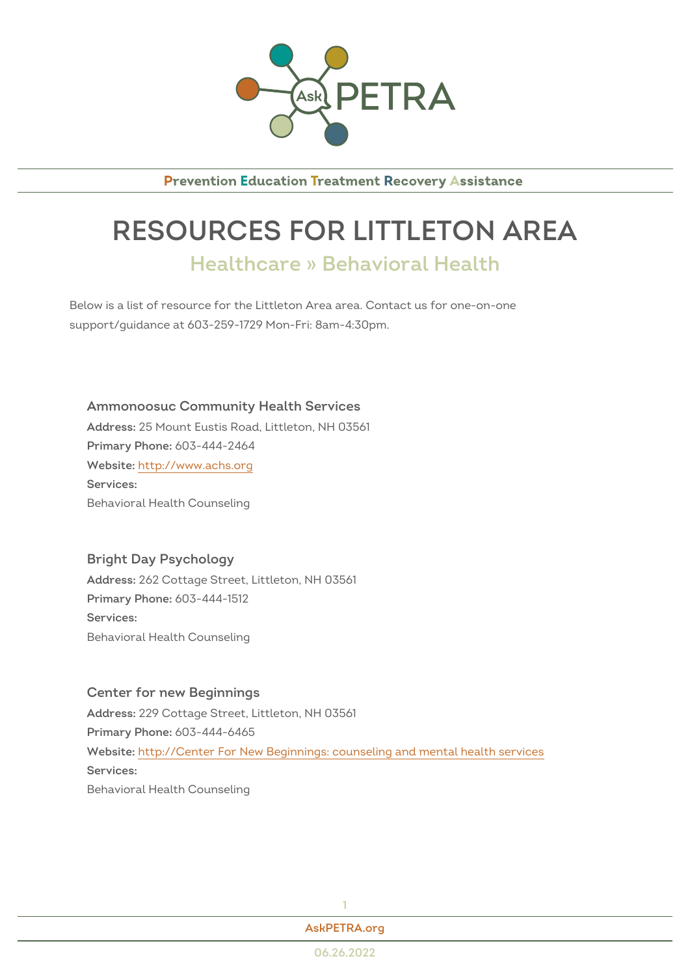

**Prevention Education Treatment Recovery Assistance** 

## RESOURCES FOR LITTLETON Healthcare » Behavioral Health

Below is a list of resource for the Littleton Area area. Contact us for onesupport/guidance at 603-259-1729 Mon-Fri: 8am-4:30pm.

Ammonoosuc Community Health Services Addres<sup>85</sup> Mount Eustis Road, Littleton, NH 03561 Primary Phono8: 444-2464 Websithet: tp://www.achs.org Services: Behavioral Health Counseling

Bright Day Psychology Addres&62 Cottage Street, Littleton, NH 03561 Primary Phono8: 444-1512 Services: Behavioral Health Counseling

Center for new Beginnings Addres 29 Cottage Street, Littleton, NH 03561  $Primarv Ph@P@: 444-6465$ Websithet: http://Center For New Beginnings: counseling and mental health se Services: Behavioral Health Counseling

[AskPETRA](https://askpetra.org).org

1